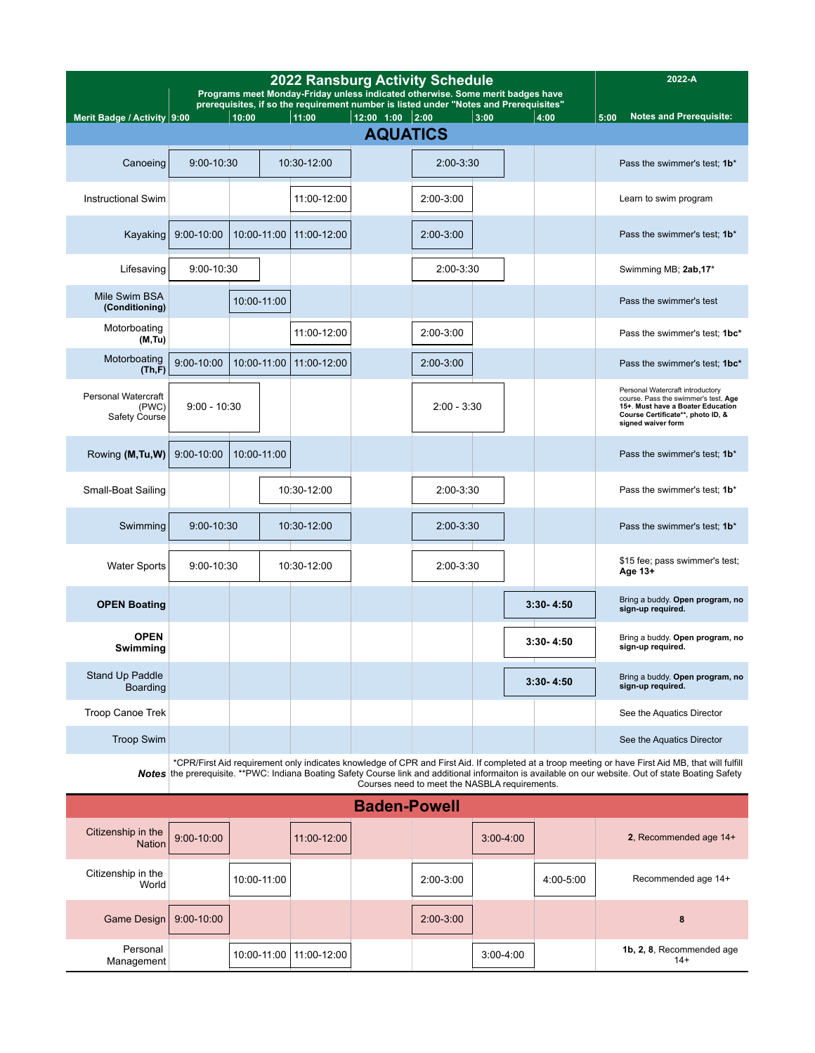| <b>2022 Ransburg Activity Schedule</b><br>Programs meet Monday-Friday unless indicated otherwise. Some merit badges have |                |             |                                                                                                |                                      |               |      |  |               | 2022-A                                                                                                                                                                   |
|--------------------------------------------------------------------------------------------------------------------------|----------------|-------------|------------------------------------------------------------------------------------------------|--------------------------------------|---------------|------|--|---------------|--------------------------------------------------------------------------------------------------------------------------------------------------------------------------|
|                                                                                                                          |                | 10:00       | prerequisites, if so the requirement number is listed under "Notes and Prerequisites"<br>11:00 |                                      |               | 3:00 |  |               | <b>Notes and Prerequisite:</b>                                                                                                                                           |
| Merit Badge / Activity 9:00                                                                                              |                |             |                                                                                                | $12:00$ 1:00 2:00<br><b>AQUATICS</b> |               |      |  | 4:00          | 5:00                                                                                                                                                                     |
| Canoeing                                                                                                                 | 9:00-10:30     |             | 10:30-12:00                                                                                    |                                      | 2:00-3:30     |      |  |               | Pass the swimmer's test; 1b*                                                                                                                                             |
| <b>Instructional Swim</b>                                                                                                |                |             | 11:00-12:00                                                                                    |                                      | 2:00-3:00     |      |  |               | Learn to swim program                                                                                                                                                    |
| Kayaking                                                                                                                 | $9:00 - 10:00$ | 10:00-11:00 | 11:00-12:00                                                                                    |                                      | 2:00-3:00     |      |  |               | Pass the swimmer's test; 1b*                                                                                                                                             |
| Lifesaving                                                                                                               | 9:00-10:30     |             |                                                                                                |                                      | 2:00-3:30     |      |  |               | Swimming MB; 2ab, 17*                                                                                                                                                    |
| Mile Swim BSA<br>(Conditioning)                                                                                          |                | 10:00-11:00 |                                                                                                |                                      |               |      |  |               | Pass the swimmer's test                                                                                                                                                  |
| Motorboating<br>(M, Tu)                                                                                                  |                |             | 11:00-12:00                                                                                    |                                      | 2:00-3:00     |      |  |               | Pass the swimmer's test; 1bc*                                                                                                                                            |
| Motorboating<br>(Th,F)                                                                                                   | $9:00 - 10:00$ | 10:00-11:00 | 11:00-12:00                                                                                    |                                      | $2:00-3:00$   |      |  |               | Pass the swimmer's test; 1bc*                                                                                                                                            |
| <b>Personal Watercraft</b><br>(PWC)<br>Safety Course                                                                     | $9:00 - 10:30$ |             |                                                                                                |                                      | $2:00 - 3:30$ |      |  |               | Personal Watercraft introductory<br>course. Pass the swimmer's test, Age<br>15+. Must have a Boater Education<br>Course Certificate**, photo ID, &<br>signed waiver form |
| Rowing (M, Tu, W)                                                                                                        | 9:00-10:00     | 10:00-11:00 |                                                                                                |                                      |               |      |  |               | Pass the swimmer's test; 1b*                                                                                                                                             |
| Small-Boat Sailing                                                                                                       |                |             | 10:30-12:00                                                                                    |                                      | 2:00-3:30     |      |  |               | Pass the swimmer's test; 1b*                                                                                                                                             |
| Swimming                                                                                                                 | 9:00-10:30     |             | 10:30-12:00                                                                                    |                                      | 2:00-3:30     |      |  |               | Pass the swimmer's test; 1b*                                                                                                                                             |
| <b>Water Sports</b>                                                                                                      | 9:00-10:30     |             | 10:30-12:00                                                                                    |                                      | $2:00 - 3:30$ |      |  |               | \$15 fee; pass swimmer's test;<br>Age 13+                                                                                                                                |
| <b>OPEN Boating</b>                                                                                                      |                |             |                                                                                                |                                      |               |      |  | $3:30 - 4:50$ | Bring a buddy. Open program, no<br>sign-up required.                                                                                                                     |
| <b>OPEN</b><br>Swimming                                                                                                  |                |             |                                                                                                |                                      |               |      |  | $3:30 - 4:50$ | Bring a buddy. Open program, no<br>sign-up required.                                                                                                                     |
| Stand Up Paddle<br>Boarding                                                                                              |                |             |                                                                                                |                                      |               |      |  | $3:30 - 4:50$ | Bring a buddy. Open program, no<br>sign-up required.                                                                                                                     |
| Troop Canoe Trek                                                                                                         |                |             |                                                                                                |                                      |               |      |  |               | See the Aquatics Director                                                                                                                                                |
| <b>Troop Swim</b>                                                                                                        |                |             |                                                                                                |                                      |               |      |  |               | See the Aquatics Director                                                                                                                                                |

\*CPR/First Aid requirement only indicates knowledge of CPR and First Aid. If completed at a troop meeting or have First Aid MB, that will fulfill<br>**Notes** the prerequisite. \*\*PWC: Indiana Boating Safety Course link and addi

|                                     |                |             |               | <b>Baden-Powell</b> |             |             |           |                                    |
|-------------------------------------|----------------|-------------|---------------|---------------------|-------------|-------------|-----------|------------------------------------|
| Citizenship in the<br><b>Nation</b> | $9:00 - 10:00$ |             | 11:00-12:00   |                     |             | $3:00-4:00$ |           | 2, Recommended age 14+             |
| Citizenship in the<br>World         |                | 10:00-11:00 |               |                     | 2:00-3:00   |             | 4:00-5:00 | Recommended age 14+                |
| Game Design                         | $9:00 - 10:00$ |             |               |                     | $2:00-3:00$ |             |           | 8                                  |
| Personal<br>Management              |                | 10:00-11:00 | $11:00-12:00$ |                     |             | $3:00-4:00$ |           | 1b, 2, 8, Recommended age<br>$14+$ |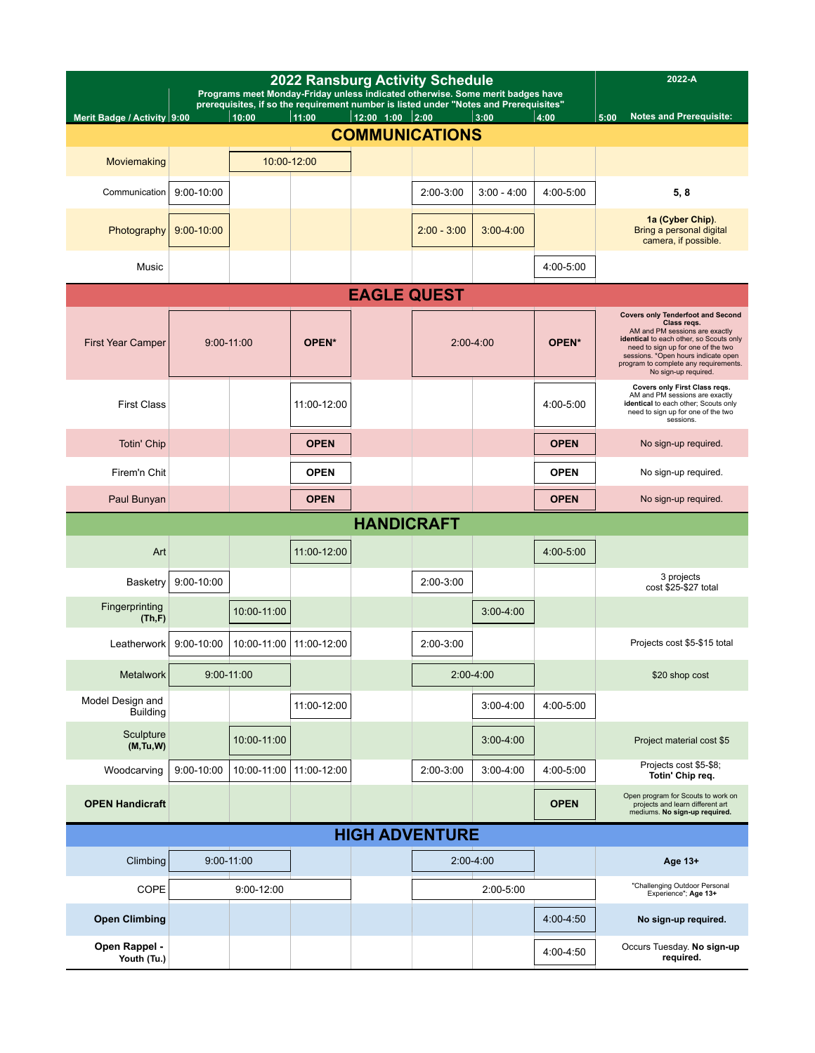|                                     | <b>2022 Ransburg Activity Schedule</b><br>Programs meet Monday-Friday unless indicated otherwise. Some merit badges have<br>prerequisites, if so the requirement number is listed under "Notes and Prerequisites" |                |                   |                   |                       |               |             |                                                                                                                                                                                                                                                                                    |
|-------------------------------------|-------------------------------------------------------------------------------------------------------------------------------------------------------------------------------------------------------------------|----------------|-------------------|-------------------|-----------------------|---------------|-------------|------------------------------------------------------------------------------------------------------------------------------------------------------------------------------------------------------------------------------------------------------------------------------------|
| Merit Badge / Activity 9:00         |                                                                                                                                                                                                                   | 10:00          | 11:00             | 12:00 1:00        | 2:00                  | 3:00          | 4:00        | <b>Notes and Prerequisite:</b><br>5:00                                                                                                                                                                                                                                             |
|                                     |                                                                                                                                                                                                                   |                |                   |                   | <b>COMMUNICATIONS</b> |               |             |                                                                                                                                                                                                                                                                                    |
| Moviemaking                         |                                                                                                                                                                                                                   |                | 10:00-12:00       |                   |                       |               |             |                                                                                                                                                                                                                                                                                    |
| Communication                       | 9:00-10:00                                                                                                                                                                                                        |                |                   |                   | 2:00-3:00             | $3:00 - 4:00$ | 4:00-5:00   | 5, 8                                                                                                                                                                                                                                                                               |
| Photography                         | $9:00 - 10:00$                                                                                                                                                                                                    |                |                   |                   | $2:00 - 3:00$         | $3:00 - 4:00$ |             | 1a (Cyber Chip).<br>Bring a personal digital<br>camera, if possible.                                                                                                                                                                                                               |
| Music                               |                                                                                                                                                                                                                   |                |                   |                   |                       |               | 4:00-5:00   |                                                                                                                                                                                                                                                                                    |
|                                     | <b>EAGLE QUEST</b>                                                                                                                                                                                                |                |                   |                   |                       |               |             |                                                                                                                                                                                                                                                                                    |
| <b>First Year Camper</b>            |                                                                                                                                                                                                                   | $9:00 - 11:00$ | OPEN <sup>*</sup> |                   |                       | $2:00-4:00$   | OPEN*       | <b>Covers only Tenderfoot and Second</b><br>Class regs.<br>AM and PM sessions are exactly<br>identical to each other, so Scouts only<br>need to sign up for one of the two<br>sessions. *Open hours indicate open<br>program to complete any requirements.<br>No sign-up required. |
| <b>First Class</b>                  |                                                                                                                                                                                                                   |                | 11:00-12:00       |                   |                       |               | 4:00-5:00   | Covers only First Class regs.<br>AM and PM sessions are exactly<br>identical to each other; Scouts only<br>need to sign up for one of the two<br>sessions.                                                                                                                         |
| <b>Totin' Chip</b>                  |                                                                                                                                                                                                                   |                | <b>OPEN</b>       |                   |                       |               | <b>OPEN</b> | No sign-up required.                                                                                                                                                                                                                                                               |
| Firem'n Chit                        |                                                                                                                                                                                                                   |                | <b>OPEN</b>       |                   |                       |               | <b>OPEN</b> | No sign-up required.                                                                                                                                                                                                                                                               |
| Paul Bunyan                         |                                                                                                                                                                                                                   |                | <b>OPEN</b>       |                   |                       |               | <b>OPEN</b> | No sign-up required.                                                                                                                                                                                                                                                               |
|                                     |                                                                                                                                                                                                                   |                |                   | <b>HANDICRAFT</b> |                       |               |             |                                                                                                                                                                                                                                                                                    |
| Art                                 |                                                                                                                                                                                                                   |                | 11:00-12:00       |                   |                       |               | 4:00-5:00   |                                                                                                                                                                                                                                                                                    |
| Basketry                            | 9:00-10:00                                                                                                                                                                                                        |                |                   |                   | 2:00-3:00             |               |             | 3 projects<br>cost \$25-\$27 total                                                                                                                                                                                                                                                 |
| Fingerprinting<br>(Th,F)            |                                                                                                                                                                                                                   | 10:00-11:00    |                   |                   |                       | $3:00 - 4:00$ |             |                                                                                                                                                                                                                                                                                    |
| Leatherwork                         | 9:00-10:00                                                                                                                                                                                                        | 10:00-11:00    | 11:00-12:00       |                   | 2:00-3:00             |               |             | Projects cost \$5-\$15 total                                                                                                                                                                                                                                                       |
| Metalwork                           |                                                                                                                                                                                                                   | $9:00 - 11:00$ |                   |                   |                       | $2:00-4:00$   |             | \$20 shop cost                                                                                                                                                                                                                                                                     |
| Model Design and<br><b>Building</b> |                                                                                                                                                                                                                   |                | 11:00-12:00       |                   |                       | $3:00 - 4:00$ | 4:00-5:00   |                                                                                                                                                                                                                                                                                    |
| Sculpture<br>(M, Tu, W)             |                                                                                                                                                                                                                   | 10:00-11:00    |                   |                   |                       | $3:00 - 4:00$ |             | Project material cost \$5                                                                                                                                                                                                                                                          |
| Woodcarving                         | 9:00-10:00                                                                                                                                                                                                        | 10:00-11:00    | 11:00-12:00       |                   | 2:00-3:00             | $3:00 - 4:00$ | 4:00-5:00   | Projects cost \$5-\$8;<br>Totin' Chip req.                                                                                                                                                                                                                                         |
| <b>OPEN Handicraft</b>              |                                                                                                                                                                                                                   |                |                   |                   |                       |               | <b>OPEN</b> | Open program for Scouts to work on<br>projects and learn different art<br>mediums. No sign-up required.                                                                                                                                                                            |
|                                     |                                                                                                                                                                                                                   |                |                   |                   | <b>HIGH ADVENTURE</b> |               |             |                                                                                                                                                                                                                                                                                    |
| Climbing                            |                                                                                                                                                                                                                   | 9:00-11:00     |                   |                   |                       | $2:00-4:00$   |             | Age 13+                                                                                                                                                                                                                                                                            |
| COPE                                |                                                                                                                                                                                                                   | 9:00-12:00     |                   |                   |                       | 2:00-5:00     |             | "Challenging Outdoor Personal<br>Experience"; Age 13+                                                                                                                                                                                                                              |
| <b>Open Climbing</b>                |                                                                                                                                                                                                                   |                |                   |                   |                       |               | 4:00-4:50   | No sign-up required.                                                                                                                                                                                                                                                               |
| Open Rappel -<br>Youth (Tu.)        |                                                                                                                                                                                                                   |                |                   |                   |                       |               | 4:00-4:50   | Occurs Tuesday. No sign-up<br>required.                                                                                                                                                                                                                                            |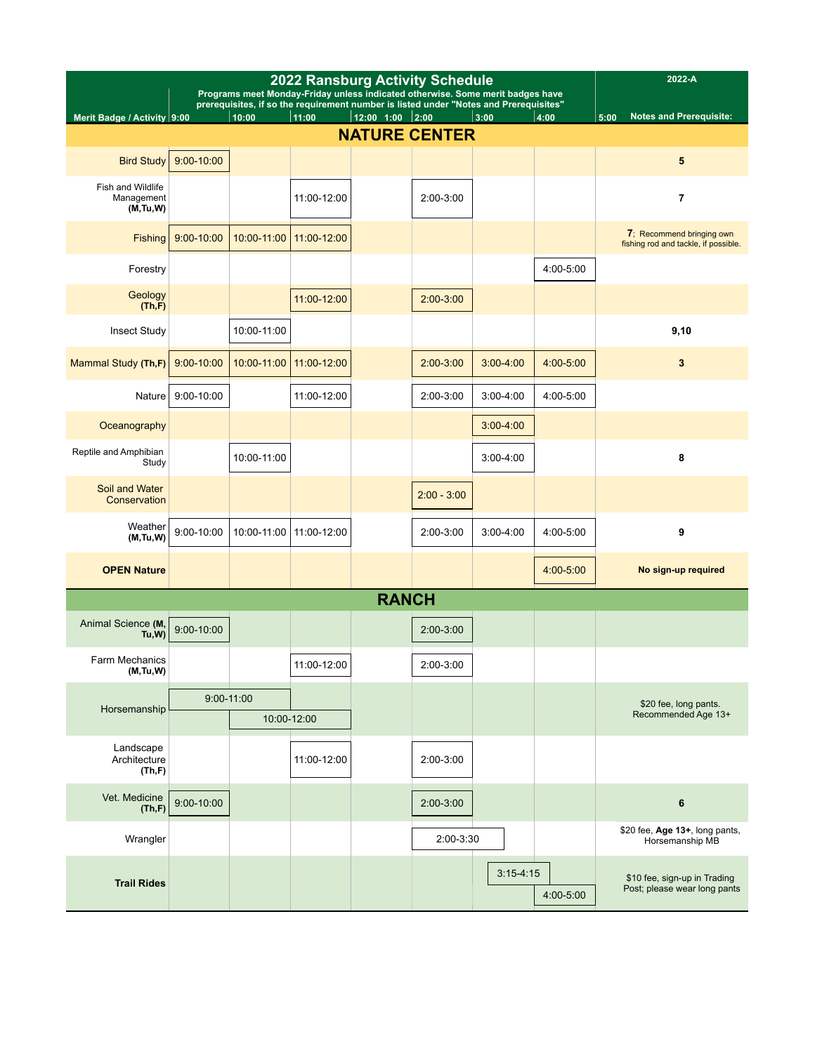| <b>2022 Ransburg Activity Schedule</b><br>Programs meet Monday-Friday unless indicated otherwise. Some merit badges have<br>prerequisites, if so the requirement number is listed under "Notes and Prerequisites" |                |             |             |              |                      |               |           | 2022-A                                                            |
|-------------------------------------------------------------------------------------------------------------------------------------------------------------------------------------------------------------------|----------------|-------------|-------------|--------------|----------------------|---------------|-----------|-------------------------------------------------------------------|
| Merit Badge / Activity 9:00                                                                                                                                                                                       |                | 10:00       | 11:00       | 12:00 1:00   | 2:00                 | 3:00          | 4:00      | <b>Notes and Prerequisite:</b><br>5:00                            |
|                                                                                                                                                                                                                   |                |             |             |              | <b>NATURE CENTER</b> |               |           |                                                                   |
| <b>Bird Study</b>                                                                                                                                                                                                 | $9:00 - 10:00$ |             |             |              |                      |               |           | 5                                                                 |
| Fish and Wildlife<br>Management<br>(M, Tu, W)                                                                                                                                                                     |                |             | 11:00-12:00 |              | 2:00-3:00            |               |           | $\overline{7}$                                                    |
| Fishing                                                                                                                                                                                                           | $9:00 - 10:00$ | 10:00-11:00 | 11:00-12:00 |              |                      |               |           | 7; Recommend bringing own<br>fishing rod and tackle, if possible. |
| Forestry                                                                                                                                                                                                          |                |             |             |              |                      |               | 4:00-5:00 |                                                                   |
| Geology<br>(Th,F)                                                                                                                                                                                                 |                |             | 11:00-12:00 |              | $2:00-3:00$          |               |           |                                                                   |
| <b>Insect Study</b>                                                                                                                                                                                               |                | 10:00-11:00 |             |              |                      |               |           | 9,10                                                              |
| Mammal Study (Th,F)                                                                                                                                                                                               | $9:00 - 10:00$ | 10:00-11:00 | 11:00-12:00 |              | $2:00-3:00$          | $3:00 - 4:00$ | 4:00-5:00 | 3                                                                 |
| Nature                                                                                                                                                                                                            | 9:00-10:00     |             | 11:00-12:00 |              | 2:00-3:00            | $3:00 - 4:00$ | 4:00-5:00 |                                                                   |
| Oceanography                                                                                                                                                                                                      |                |             |             |              |                      | $3:00 - 4:00$ |           |                                                                   |
| Reptile and Amphibian<br>Study                                                                                                                                                                                    |                | 10:00-11:00 |             |              |                      | $3:00 - 4:00$ |           | 8                                                                 |
| Soil and Water<br>Conservation                                                                                                                                                                                    |                |             |             |              | $2:00 - 3:00$        |               |           |                                                                   |
| Weather<br>(M, Tu, W)                                                                                                                                                                                             | 9:00-10:00     | 10:00-11:00 | 11:00-12:00 |              | 2:00-3:00            | $3:00 - 4:00$ | 4:00-5:00 | 9                                                                 |
| <b>OPEN Nature</b>                                                                                                                                                                                                |                |             |             |              |                      |               | 4:00-5:00 | No sign-up required                                               |
|                                                                                                                                                                                                                   |                |             |             | <b>RANCH</b> |                      |               |           |                                                                   |
| Animal Science (M,<br>Tu,W)                                                                                                                                                                                       | $9:00 - 10:00$ |             |             |              | 2:00-3:00            |               |           |                                                                   |
| <b>Farm Mechanics</b><br>(M, Tu, W)                                                                                                                                                                               |                |             | 11:00-12:00 |              | 2:00-3:00            |               |           |                                                                   |
|                                                                                                                                                                                                                   | $9:00 - 11:00$ |             |             |              |                      |               |           | \$20 fee, long pants.                                             |
| Horsemanship                                                                                                                                                                                                      |                | 10:00-12:00 |             |              |                      |               |           | Recommended Age 13+                                               |
| Landscape<br>Architecture<br>(Th,F)                                                                                                                                                                               |                |             | 11:00-12:00 |              | 2:00-3:00            |               |           |                                                                   |
| Vet. Medicine<br>(Th,F)                                                                                                                                                                                           | 9:00-10:00     |             |             |              | 2:00-3:00            |               |           | 6                                                                 |
| Wrangler                                                                                                                                                                                                          |                |             |             |              | 2:00-3:30            |               |           | \$20 fee, Age 13+, long pants,<br>Horsemanship MB                 |
| <b>Trail Rides</b>                                                                                                                                                                                                |                |             |             |              |                      | $3:15-4:15$   | 4:00-5:00 | \$10 fee, sign-up in Trading<br>Post; please wear long pants      |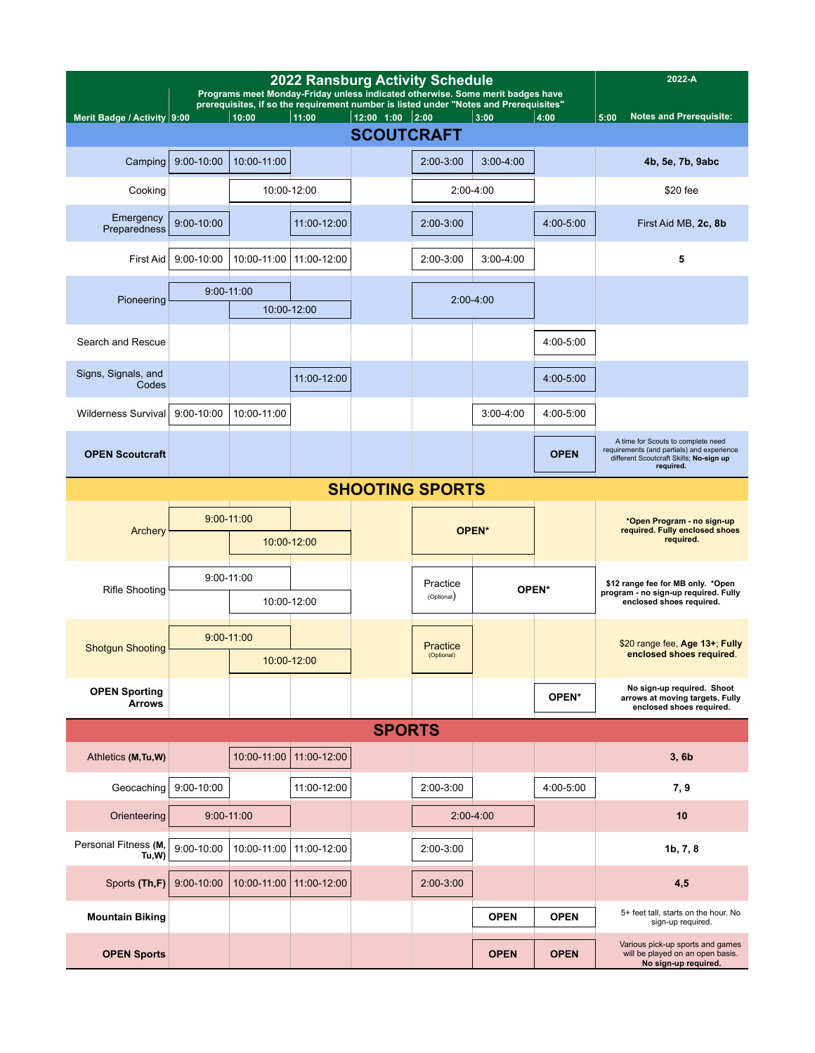| <b>2022 Ransburg Activity Schedule</b><br>Programs meet Monday-Friday unless indicated otherwise. Some merit badges have |            |                |                                                                                                |                     |               |               |             | 2022-A                                                                                                                                   |
|--------------------------------------------------------------------------------------------------------------------------|------------|----------------|------------------------------------------------------------------------------------------------|---------------------|---------------|---------------|-------------|------------------------------------------------------------------------------------------------------------------------------------------|
| Merit Badge / Activity 9:00                                                                                              |            | 10:00          | prerequisites, if so the requirement number is listed under "Notes and Prerequisites"<br>11:00 | $12:00$ $1:00$ 2:00 |               | 3:00          | 4:00        | <b>Notes and Prerequisite:</b><br>5:00                                                                                                   |
|                                                                                                                          |            |                |                                                                                                | <b>SCOUTCRAFT</b>   |               |               |             |                                                                                                                                          |
| Camping                                                                                                                  | 9:00-10:00 | 10:00-11:00    |                                                                                                |                     | $2:00-3:00$   | $3:00 - 4:00$ |             | 4b, 5e, 7b, 9abc                                                                                                                         |
| Cooking                                                                                                                  |            |                | 10:00-12:00                                                                                    |                     |               | 2:00-4:00     |             | \$20 fee                                                                                                                                 |
| Emergency<br>Preparedness                                                                                                | 9:00-10:00 |                | 11:00-12:00                                                                                    |                     | $2:00-3:00$   |               | 4:00-5:00   | First Aid MB, 2c, 8b                                                                                                                     |
| First Aid                                                                                                                | 9:00-10:00 | 10:00-11:00    | 11:00-12:00                                                                                    |                     | $2:00-3:00$   | $3:00 - 4:00$ |             | 5                                                                                                                                        |
|                                                                                                                          |            | $9:00 - 11:00$ |                                                                                                |                     |               |               |             |                                                                                                                                          |
| Pioneering                                                                                                               |            |                | 10:00-12:00                                                                                    |                     | $2:00 - 4:00$ |               |             |                                                                                                                                          |
| Search and Rescue                                                                                                        |            |                |                                                                                                |                     |               |               | 4:00-5:00   |                                                                                                                                          |
| Signs, Signals, and<br>Codes                                                                                             |            |                | 11:00-12:00                                                                                    |                     |               |               | 4:00-5:00   |                                                                                                                                          |
| Wilderness Survival                                                                                                      | 9:00-10:00 | 10:00-11:00    |                                                                                                |                     |               | $3:00 - 4:00$ | 4:00-5:00   |                                                                                                                                          |
| <b>OPEN Scoutcraft</b>                                                                                                   |            |                |                                                                                                |                     |               |               | <b>OPEN</b> | A time for Scouts to complete need<br>requirements (and partials) and experience<br>different Scoutcraft Skills; No-sign up<br>required. |
| <b>SHOOTING SPORTS</b>                                                                                                   |            |                |                                                                                                |                     |               |               |             |                                                                                                                                          |
| Archery                                                                                                                  |            | $9:00 - 11:00$ |                                                                                                |                     |               | OPEN*         |             | *Open Program - no sign-up<br>required. Fully enclosed shoes<br>required.                                                                |
|                                                                                                                          |            |                | 10:00-12:00                                                                                    |                     |               |               |             |                                                                                                                                          |
| <b>Rifle Shooting</b>                                                                                                    |            | $9:00 - 11:00$ |                                                                                                |                     | Practice      |               | OPEN*       | \$12 range fee for MB only. *Open<br>program - no sign-up required. Fully                                                                |
|                                                                                                                          |            |                | 10:00-12:00                                                                                    |                     | (Optional)    |               |             | enclosed shoes required.                                                                                                                 |
| <b>Shotgun Shooting</b>                                                                                                  |            | $9:00 - 11:00$ |                                                                                                |                     | Practice      |               |             | \$20 range fee, Age 13+; Fully                                                                                                           |
|                                                                                                                          |            |                | 10:00-12:00                                                                                    |                     | (Optional)    |               |             | enclosed shoes required.                                                                                                                 |
| <b>OPEN Sporting</b><br><b>Arrows</b>                                                                                    |            |                |                                                                                                |                     |               |               | OPEN*       | No sign-up required. Shoot<br>arrows at moving targets. Fully<br>enclosed shoes required.                                                |
|                                                                                                                          |            |                |                                                                                                | <b>SPORTS</b>       |               |               |             |                                                                                                                                          |
| Athletics (M, Tu, W)                                                                                                     |            | 10:00-11:00    | 11:00-12:00                                                                                    |                     |               |               |             | 3, 6b                                                                                                                                    |
| Geocaching                                                                                                               | 9:00-10:00 |                | 11:00-12:00                                                                                    |                     | 2:00-3:00     |               | 4:00-5:00   | 7, 9                                                                                                                                     |
| Orienteering                                                                                                             |            | $9:00 - 11:00$ |                                                                                                |                     |               | $2:00-4:00$   |             | 10                                                                                                                                       |
| Personal Fitness (M,<br>Tu, W                                                                                            | 9:00-10:00 | 10:00-11:00    | 11:00-12:00                                                                                    |                     | $2:00-3:00$   |               |             | 1b, 7, 8                                                                                                                                 |
| Sports (Th,F)                                                                                                            | 9:00-10:00 | 10:00-11:00    | 11:00-12:00                                                                                    |                     | $2:00-3:00$   |               |             | 4,5                                                                                                                                      |
| <b>Mountain Biking</b>                                                                                                   |            |                |                                                                                                |                     |               | <b>OPEN</b>   | <b>OPEN</b> | 5+ feet tall, starts on the hour. No<br>sign-up required.                                                                                |
| <b>OPEN Sports</b>                                                                                                       |            |                |                                                                                                |                     |               | <b>OPEN</b>   | <b>OPEN</b> | Various pick-up sports and games<br>will be played on an open basis.<br>No sign-up required.                                             |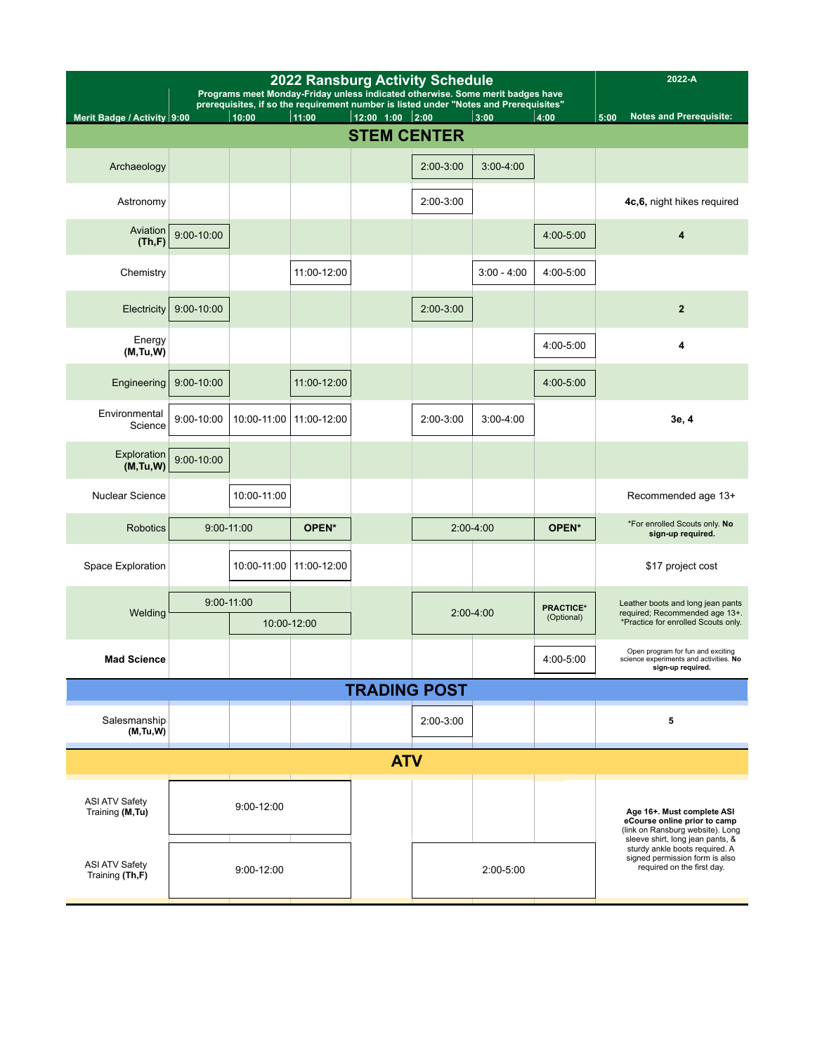|                                          | <b>2022 Ransburg Activity Schedule</b><br>Programs meet Monday-Friday unless indicated otherwise. Some merit badges have<br>prerequisites, if so the requirement number is listed under "Notes and Prerequisites" |              |             |                    |             |               |                                | 2022-A                                                                                                                             |
|------------------------------------------|-------------------------------------------------------------------------------------------------------------------------------------------------------------------------------------------------------------------|--------------|-------------|--------------------|-------------|---------------|--------------------------------|------------------------------------------------------------------------------------------------------------------------------------|
| Merit Badge / Activity 9:00              |                                                                                                                                                                                                                   | 10:00        | 11:00       | 12:00 1:00         | 2:00        | 3:00          | 4:00                           | <b>Notes and Prerequisite:</b><br>5:00                                                                                             |
|                                          |                                                                                                                                                                                                                   |              |             | <b>STEM CENTER</b> |             |               |                                |                                                                                                                                    |
| Archaeology                              |                                                                                                                                                                                                                   |              |             |                    | 2:00-3:00   | $3:00 - 4:00$ |                                |                                                                                                                                    |
| Astronomy                                |                                                                                                                                                                                                                   |              |             |                    | 2:00-3:00   |               |                                | 4c,6, night hikes required                                                                                                         |
| Aviation<br>(Th,F)                       | $9:00 - 10:00$                                                                                                                                                                                                    |              |             |                    |             |               | 4:00-5:00                      | 4                                                                                                                                  |
| Chemistry                                |                                                                                                                                                                                                                   |              | 11:00-12:00 |                    |             | $3:00 - 4:00$ | 4:00-5:00                      |                                                                                                                                    |
| Electricity                              | 9:00-10:00                                                                                                                                                                                                        |              |             |                    | $2:00-3:00$ |               |                                | $\mathbf{2}$                                                                                                                       |
| Energy<br>(M, Tu, W)                     |                                                                                                                                                                                                                   |              |             |                    |             |               | 4:00-5:00                      | 4                                                                                                                                  |
| Engineering                              | 9:00-10:00                                                                                                                                                                                                        |              | 11:00-12:00 |                    |             |               | 4:00-5:00                      |                                                                                                                                    |
| Environmental<br>Science                 | 9:00-10:00                                                                                                                                                                                                        | 10:00-11:00  | 11:00-12:00 |                    | 2:00-3:00   | $3:00 - 4:00$ |                                | 3e, 4                                                                                                                              |
| Exploration<br>(M, Tu, W)                | $9:00 - 10:00$                                                                                                                                                                                                    |              |             |                    |             |               |                                |                                                                                                                                    |
| <b>Nuclear Science</b>                   |                                                                                                                                                                                                                   | 10:00-11:00  |             |                    |             |               |                                | Recommended age 13+                                                                                                                |
| <b>Robotics</b>                          | $9:00 - 11:00$                                                                                                                                                                                                    |              | OPEN*       |                    |             | $2:00-4:00$   | OPEN*                          | *For enrolled Scouts only. No<br>sign-up required.                                                                                 |
| Space Exploration                        |                                                                                                                                                                                                                   | 10:00-11:00  | 11:00-12:00 |                    |             |               |                                | \$17 project cost                                                                                                                  |
|                                          | $9:00 - 11:00$                                                                                                                                                                                                    |              |             |                    |             |               |                                | Leather boots and long jean pants                                                                                                  |
| Welding                                  |                                                                                                                                                                                                                   |              | 10:00-12:00 |                    |             | $2:00-4:00$   | <b>PRACTICE*</b><br>(Optional) | required; Recommended age 13+.<br>*Practice for enrolled Scouts only.                                                              |
| <b>Mad Science</b>                       |                                                                                                                                                                                                                   |              |             |                    |             |               | 4:00-5:00                      | Open program for fun and exciting<br>science experiments and activities. No<br>sign-up required.                                   |
|                                          | <b>TRADING POST</b>                                                                                                                                                                                               |              |             |                    |             |               |                                |                                                                                                                                    |
| Salesmanship<br>(M, Tu, W)               |                                                                                                                                                                                                                   |              |             |                    | $2:00-3:00$ |               |                                | 5                                                                                                                                  |
|                                          | <b>ATV</b>                                                                                                                                                                                                        |              |             |                    |             |               |                                |                                                                                                                                    |
| ASI ATV Safety<br>Training (M, Tu)       |                                                                                                                                                                                                                   | $9:00-12:00$ |             |                    |             |               |                                | Age 16+. Must complete ASI<br>eCourse online prior to camp<br>(link on Ransburg website). Long<br>sleeve shirt, long jean pants, & |
| <b>ASI ATV Safety</b><br>Training (Th,F) |                                                                                                                                                                                                                   | 9:00-12:00   |             |                    |             | 2:00-5:00     |                                | sturdy ankle boots required. A<br>signed permission form is also<br>required on the first day.                                     |